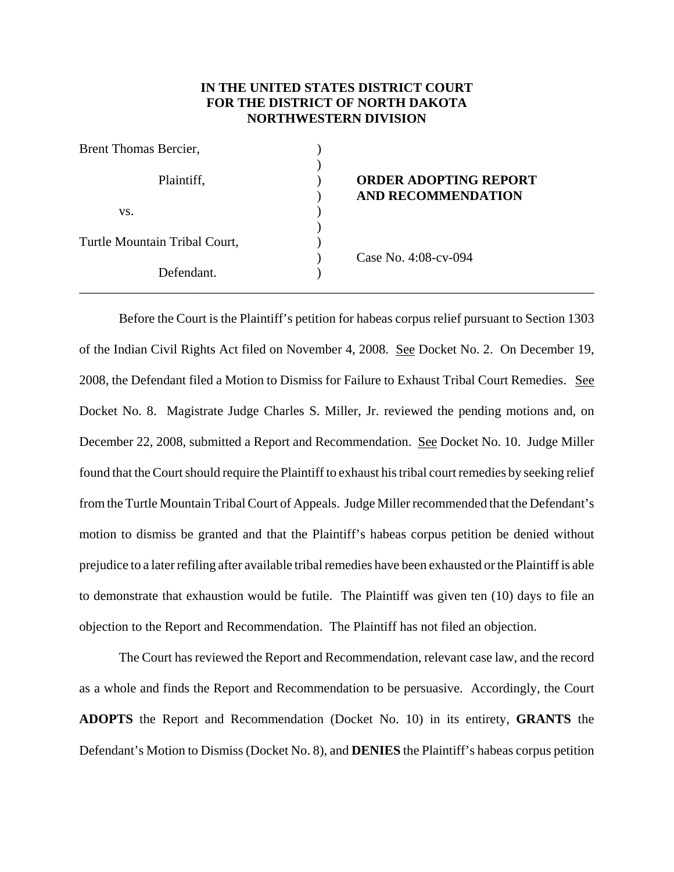## **IN THE UNITED STATES DISTRICT COURT FOR THE DISTRICT OF NORTH DAKOTA NORTHWESTERN DIVISION**

| Brent Thomas Bercier,         |                                                           |
|-------------------------------|-----------------------------------------------------------|
| Plaintiff,                    | <b>ORDER ADOPTING REPORT</b><br><b>AND RECOMMENDATION</b> |
| VS.                           |                                                           |
|                               |                                                           |
| Turtle Mountain Tribal Court, |                                                           |
|                               | Case No. 4:08-cv-094                                      |
| Defendant.                    |                                                           |
|                               |                                                           |

Before the Court is the Plaintiff's petition for habeas corpus relief pursuant to Section 1303 of the Indian Civil Rights Act filed on November 4, 2008. See Docket No. 2. On December 19, 2008, the Defendant filed a Motion to Dismiss for Failure to Exhaust Tribal Court Remedies. See Docket No. 8. Magistrate Judge Charles S. Miller, Jr. reviewed the pending motions and, on December 22, 2008, submitted a Report and Recommendation. See Docket No. 10. Judge Miller found that the Court should require the Plaintiff to exhaust his tribal court remedies by seeking relief from the Turtle Mountain Tribal Court of Appeals. Judge Miller recommended that the Defendant's motion to dismiss be granted and that the Plaintiff's habeas corpus petition be denied without prejudice to a later refiling after available tribal remedies have been exhausted or the Plaintiff is able to demonstrate that exhaustion would be futile. The Plaintiff was given ten (10) days to file an objection to the Report and Recommendation. The Plaintiff has not filed an objection.

The Court has reviewed the Report and Recommendation, relevant case law, and the record as a whole and finds the Report and Recommendation to be persuasive. Accordingly, the Court **ADOPTS** the Report and Recommendation (Docket No. 10) in its entirety, **GRANTS** the Defendant's Motion to Dismiss (Docket No. 8), and **DENIES** the Plaintiff's habeas corpus petition